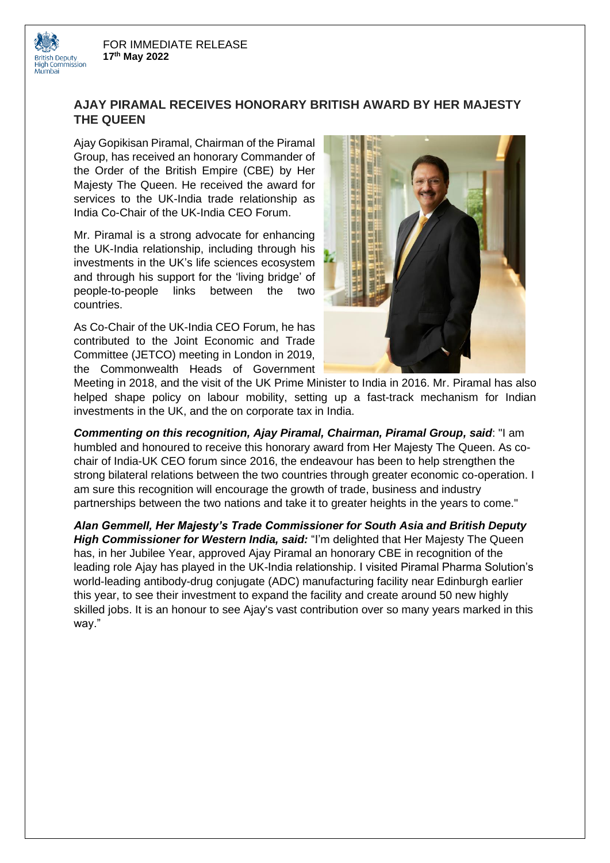**British Deputy<br>High Commission** 



Ajay Gopikisan Piramal, Chairman of the Piramal Group, has received an honorary Commander of the Order of the British Empire (CBE) by Her Majesty The Queen. He received the award for services to the UK-India trade relationship as India Co-Chair of the UK-India CEO Forum.

Mr. Piramal is a strong advocate for enhancing the UK-India relationship, including through his investments in the UK's life sciences ecosystem and through his support for the 'living bridge' of people-to-people links between the two countries.

As Co-Chair of the UK-India CEO Forum, he has contributed to the Joint Economic and Trade Committee (JETCO) meeting in London in 2019, the Commonwealth Heads of Government



Meeting in 2018, and the visit of the UK Prime Minister to India in 2016. Mr. Piramal has also helped shape policy on labour mobility, setting up a fast-track mechanism for Indian investments in the UK, and the on corporate tax in India.

*Commenting on this recognition, Ajay Piramal, Chairman, Piramal Group, said*: "I am humbled and honoured to receive this honorary award from Her Majesty The Queen. As cochair of India-UK CEO forum since 2016, the endeavour has been to help strengthen the strong bilateral relations between the two countries through greater economic co-operation. I am sure this recognition will encourage the growth of trade, business and industry partnerships between the two nations and take it to greater heights in the years to come."

*Alan Gemmell, Her Majesty's Trade Commissioner for South Asia and British Deputy High Commissioner for Western India, said:* "I'm delighted that Her Majesty The Queen has, in her Jubilee Year, approved Ajay Piramal an honorary CBE in recognition of the leading role Ajay has played in the UK-India relationship. I visited Piramal Pharma Solution's world-leading antibody-drug conjugate (ADC) manufacturing facility near Edinburgh earlier this year, to see their investment to expand the facility and create around 50 new highly skilled jobs. It is an honour to see Ajay's vast contribution over so many years marked in this way."